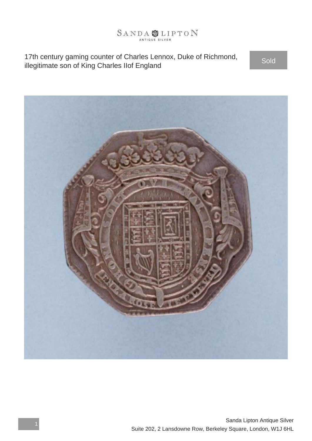

17th century gaming counter of Charles Lennox, Duke of Richmond, If an century gaming counter of Charles Lennox, Duke of Richmond,<br>illegitimate son of King Charles IIof England